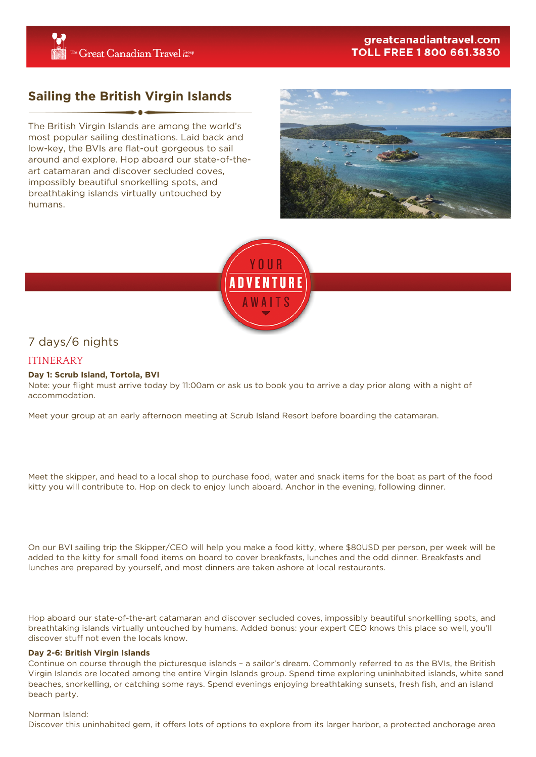# greatcanadiantravel.com **TOLL FREE 1 800 661.3830**

# **Sailing the British Virgin Islands**

The British Virgin Islands are among the world's most popular sailing destinations. Laid back and low-key, the BVIs are flat-out gorgeous to sail around and explore. Hop aboard our state-of-theart catamaran and discover secluded coves, impossibly beautiful snorkelling spots, and breathtaking islands virtually untouched by humans.





# 7 days/6 nights

# ITINERARY

## **Day 1: Scrub Island, Tortola, BVI**

Note: your flight must arrive today by 11:00am or ask us to book you to arrive a day prior along with a night of accommodation.

Meet your group at an early afternoon meeting at Scrub Island Resort before boarding the catamaran.

Meet the skipper, and head to a local shop to purchase food, water and snack items for the boat as part of the food kitty you will contribute to. Hop on deck to enjoy lunch aboard. Anchor in the evening, following dinner.

On our BVI sailing trip the Skipper/CEO will help you make a food kitty, where \$80USD per person, per week will be added to the kitty for small food items on board to cover breakfasts, lunches and the odd dinner. Breakfasts and lunches are prepared by yourself, and most dinners are taken ashore at local restaurants.

Hop aboard our state-of-the-art catamaran and discover secluded coves, impossibly beautiful snorkelling spots, and breathtaking islands virtually untouched by humans. Added bonus: your expert CEO knows this place so well, you'll discover stuff not even the locals know.

## **Day 2-6: British Virgin Islands**

Continue on course through the picturesque islands – a sailor's dream. Commonly referred to as the BVIs, the British Virgin Islands are located among the entire Virgin Islands group. Spend time exploring uninhabited islands, white sand beaches, snorkelling, or catching some rays. Spend evenings enjoying breathtaking sunsets, fresh fish, and an island beach party.

#### Norman Island:

Discover this uninhabited gem, it offers lots of options to explore from its larger harbor, a protected anchorage area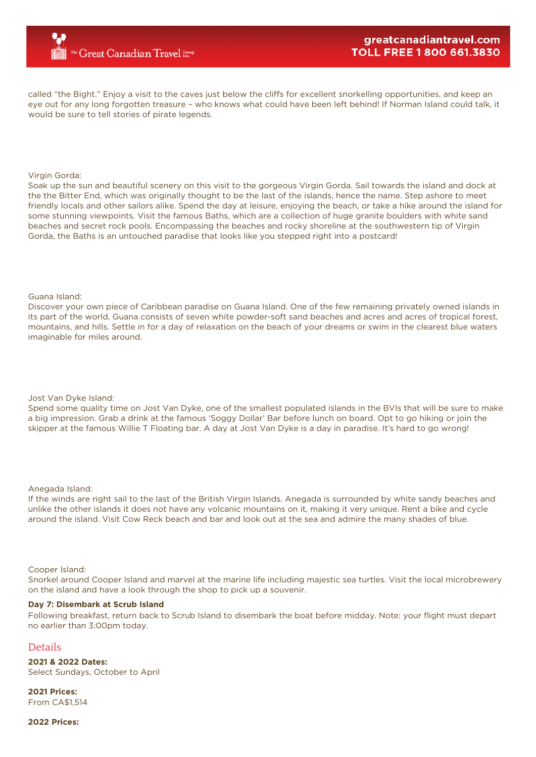called "the Bight." Enjoy a visit to the caves just below the cliffs for excellent snorkelling opportunities, and keep an eye out for any long forgotten treasure – who knows what could have been left behind! If Norman Island could talk, it would be sure to tell stories of pirate legends.

### Virgin Gorda:

Soak up the sun and beautiful scenery on this visit to the gorgeous Virgin Gorda. Sail towards the island and dock at the the Bitter End, which was originally thought to be the last of the islands, hence the name. Step ashore to meet friendly locals and other sailors alike. Spend the day at leisure, enjoying the beach, or take a hike around the island for some stunning viewpoints. Visit the famous Baths, which are a collection of huge granite boulders with white sand beaches and secret rock pools. Encompassing the beaches and rocky shoreline at the southwestern tip of Virgin Gorda, the Baths is an untouched paradise that looks like you stepped right into a postcard!

#### Guana Island:

Discover your own piece of Caribbean paradise on Guana Island. One of the few remaining privately owned islands in its part of the world, Guana consists of seven white powder-soft sand beaches and acres and acres of tropical forest, mountains, and hills. Settle in for a day of relaxation on the beach of your dreams or swim in the clearest blue waters imaginable for miles around.

#### Jost Van Dyke Island:

Spend some quality time on Jost Van Dyke, one of the smallest populated islands in the BVIs that will be sure to make a big impression. Grab a drink at the famous 'Soggy Dollar' Bar before lunch on board. Opt to go hiking or join the skipper at the famous Willie T Floating bar. A day at Jost Van Dyke is a day in paradise. It's hard to go wrong!

#### Anegada Island:

If the winds are right sail to the last of the British Virgin Islands. Anegada is surrounded by white sandy beaches and unlike the other islands it does not have any volcanic mountains on it, making it very unique. Rent a bike and cycle around the island. Visit Cow Reck beach and bar and look out at the sea and admire the many shades of blue.

#### Cooper Island:

Snorkel around Cooper Island and marvel at the marine life including majestic sea turtles. Visit the local microbrewery on the island and have a look through the shop to pick up a souvenir.

### **Day 7: Disembark at Scrub Island**

Following breakfast, return back to Scrub Island to disembark the boat before midday. Note: your flight must depart no earlier than 3:00pm today.

## **Details**

**2021 & 2022 Dates:** Select Sundays, October to April

**2021 Prices:** From CA\$1,514

## **2022 Prices:**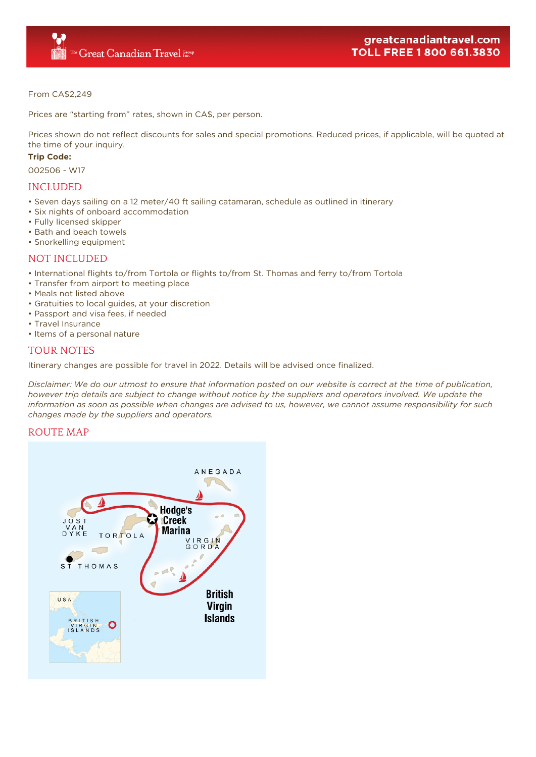## From CA\$2,249

Prices are "starting from" rates, shown in CA\$, per person.

Prices shown do not reflect discounts for sales and special promotions. Reduced prices, if applicable, will be quoted at the time of your inquiry.

# **Trip Code:**

002506 - W17

# INCLUDED

- Seven days sailing on a 12 meter/40 ft sailing catamaran, schedule as outlined in itinerary
- Six nights of onboard accommodation
- Fully licensed skipper
- Bath and beach towels
- Snorkelling equipment

# NOT INCLUDED

- International flights to/from Tortola or flights to/from St. Thomas and ferry to/from Tortola
- Transfer from airport to meeting place
- Meals not listed above
- Gratuities to local guides, at your discretion
- Passport and visa fees, if needed
- Travel Insurance
- Items of a personal nature

# TOUR NOTES

Itinerary changes are possible for travel in 2022. Details will be advised once finalized.

*Disclaimer: We do our utmost to ensure that information posted on our website is correct at the time of publication, however trip details are subject to change without notice by the suppliers and operators involved. We update the information as soon as possible when changes are advised to us, however, we cannot assume responsibility for such changes made by the suppliers and operators.*

# ROUTE MAP